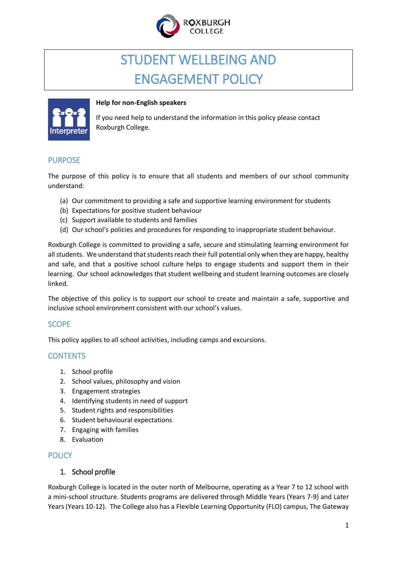

# STUDENT WELLBEING AND ENGAGEMENT POLICY



#### **Help for non-English speakers**

If you need help to understand the information in this policy please contact Roxburgh College.

# PURPOSE

The purpose of this policy is to ensure that all students and members of our school community understand:

- (a) Our commitment to providing a safe and supportive learning environment for students
- (b) Expectations for positive student behaviour
- (c) Support available to students and families
- (d) Our school's policies and procedures for responding to inappropriate student behaviour.

Roxburgh College is committed to providing a safe, secure and stimulating learning environment for all students. We understand that students reach their full potential only when they are happy, healthy and safe, and that a positive school culture helps to engage students and support them in their learning. Our school acknowledges that student wellbeing and student learning outcomes are closely linked.

The objective of this policy is to support our school to create and maintain a safe, supportive and inclusive school environment consistent with our school's values.

# **SCOPE**

This policy applies to all school activities, including camps and excursions.

## **CONTENTS**

- 1. School profile
- 2. School values, philosophy and vision
- 3. Engagement strategies
- 4. Identifying students in need of support
- 5. Student rights and responsibilities
- 6. Student behavioural expectations
- 7. Engaging with families
- 8. Evaluation

# **POLICY**

#### 1. School profile

Roxburgh College is located in the outer north of Melbourne, operating as a Year 7 to 12 school with a mini-school structure. Students programs are delivered through Middle Years (Years 7-9) and Later Years (Years 10-12). The College also has a Flexible Learning Opportunity (FLO) campus, The Gateway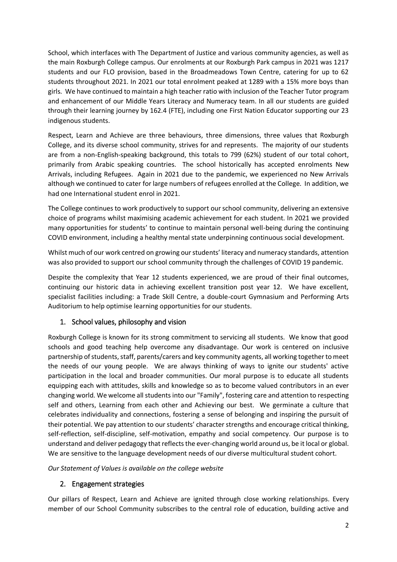School, which interfaces with The Department of Justice and various community agencies, as well as the main Roxburgh College campus. Our enrolments at our Roxburgh Park campus in 2021 was 1217 students and our FLO provision, based in the Broadmeadows Town Centre, catering for up to 62 students throughout 2021. In 2021 our total enrolment peaked at 1289 with a 15% more boys than girls. We have continued to maintain a high teacher ratio with inclusion of the Teacher Tutor program and enhancement of our Middle Years Literacy and Numeracy team. In all our students are guided through their learning journey by 162.4 (FTE), including one First Nation Educator supporting our 23 indigenous students.

Respect, Learn and Achieve are three behaviours, three dimensions, three values that Roxburgh College, and its diverse school community, strives for and represents. The majority of our students are from a non-English-speaking background, this totals to 799 (62%) student of our total cohort, primarily from Arabic speaking countries. The school historically has accepted enrolments New Arrivals, including Refugees. Again in 2021 due to the pandemic, we experienced no New Arrivals although we continued to cater for large numbers of refugees enrolled at the College. In addition, we had one International student enrol in 2021.

The College continues to work productively to support our school community, delivering an extensive choice of programs whilst maximising academic achievement for each student. In 2021 we provided many opportunities for students' to continue to maintain personal well-being during the continuing COVID environment, including a healthy mental state underpinning continuous social development.

Whilst much of our work centred on growing our students' literacy and numeracy standards, attention was also provided to support our school community through the challenges of COVID 19 pandemic.

Despite the complexity that Year 12 students experienced, we are proud of their final outcomes, continuing our historic data in achieving excellent transition post year 12. We have excellent, specialist facilities including: a Trade Skill Centre, a double-court Gymnasium and Performing Arts Auditorium to help optimise learning opportunities for our students.

## 1. School values, philosophy and vision

Roxburgh College is known for its strong commitment to servicing all students. We know that good schools and good teaching help overcome any disadvantage. Our work is centered on inclusive partnership of students, staff, parents/carers and key community agents, all working together to meet the needs of our young people. We are always thinking of ways to ignite our students' active participation in the local and broader communities. Our moral purpose is to educate all students equipping each with attitudes, skills and knowledge so as to become valued contributors in an ever changing world. We welcome all students into our "Family", fostering care and attention to respecting self and others, Learning from each other and Achieving our best. We germinate a culture that celebrates individuality and connections, fostering a sense of belonging and inspiring the pursuit of their potential. We pay attention to our students' character strengths and encourage critical thinking, self-reflection, self-discipline, self-motivation, empathy and social competency. Our purpose is to understand and deliver pedagogy that reflects the ever-changing world around us, be it local or global. We are sensitive to the language development needs of our diverse multicultural student cohort.

*Our Statement of Values is available on the college website*

## 2. Engagement strategies

Our pillars of Respect, Learn and Achieve are ignited through close working relationships. Every member of our School Community subscribes to the central role of education, building active and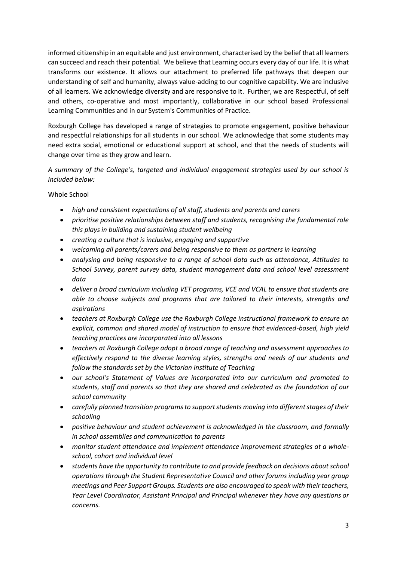informed citizenship in an equitable and just environment, characterised by the belief that all learners can succeed and reach their potential. We believe that Learning occurs every day of our life. It is what transforms our existence. It allows our attachment to preferred life pathways that deepen our understanding of self and humanity, always value-adding to our cognitive capability. We are inclusive of all learners. We acknowledge diversity and are responsive to it. Further, we are Respectful, of self and others, co-operative and most importantly, collaborative in our school based Professional Learning Communities and in our System's Communities of Practice.

Roxburgh College has developed a range of strategies to promote engagement, positive behaviour and respectful relationships for all students in our school. We acknowledge that some students may need extra social, emotional or educational support at school, and that the needs of students will change over time as they grow and learn.

*A summary of the College's, targeted and individual engagement strategies used by our school is included below:*

#### Whole School

- *high and consistent expectations of all staff, students and parents and carers*
- *prioritise positive relationships between staff and students, recognising the fundamental role this plays in building and sustaining student wellbeing*
- *creating a culture that is inclusive, engaging and supportive*
- *welcoming all parents/carers and being responsive to them as partners in learning*
- *analysing and being responsive to a range of school data such as attendance, Attitudes to School Survey, parent survey data, student management data and school level assessment data*
- *deliver a broad curriculum including VET programs, VCE and VCAL to ensure that students are able to choose subjects and programs that are tailored to their interests, strengths and aspirations*
- *teachers at Roxburgh College use the Roxburgh College instructional framework to ensure an explicit, common and shared model of instruction to ensure that evidenced-based, high yield teaching practices are incorporated into all lessons*
- *teachers at Roxburgh College adopt a broad range of teaching and assessment approaches to effectively respond to the diverse learning styles, strengths and needs of our students and follow the standards set by the Victorian Institute of Teaching*
- *our school's Statement of Values are incorporated into our curriculum and promoted to students, staff and parents so that they are shared and celebrated as the foundation of our school community*
- *carefully planned transition programs to support students moving into different stages of their schooling*
- *positive behaviour and student achievement is acknowledged in the classroom, and formally in school assemblies and communication to parents*
- *monitor student attendance and implement attendance improvement strategies at a wholeschool, cohort and individual level*
- *students have the opportunity to contribute to and provide feedback on decisions aboutschool operations through the Student Representative Council and other forums including year group meetings and Peer Support Groups. Students are also encouraged to speak with their teachers, Year Level Coordinator, Assistant Principal and Principal whenever they have any questions or concerns.*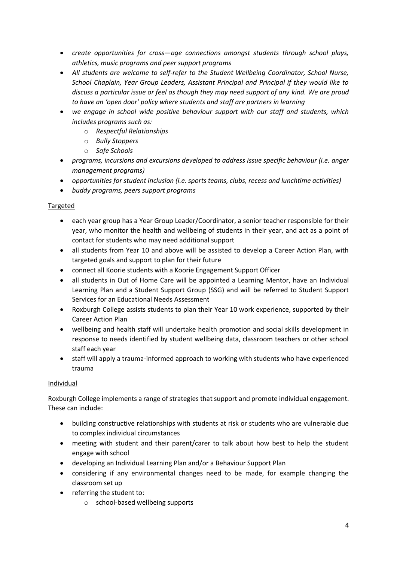- *create opportunities for cross—age connections amongst students through school plays, athletics, music programs and peer support programs*
- *All students are welcome to self-refer to the Student Wellbeing Coordinator, School Nurse, School Chaplain, Year Group Leaders, Assistant Principal and Principal if they would like to discuss a particular issue or feel as though they may need support of any kind. We are proud to have an 'open door' policy where students and staff are partners in learning*
- *we engage in school wide positive behaviour support with our staff and students, which includes programs such as:*
	- o *Respectful Relationships*
	- o *Bully Stoppers*
	- o *Safe Schools*
- *programs, incursions and excursions developed to address issue specific behaviour (i.e. anger management programs)*
- *opportunities for student inclusion (i.e. sports teams, clubs, recess and lunchtime activities)*
- *buddy programs, peers support programs*

#### Targeted

- each year group has a Year Group Leader/Coordinator, a senior teacher responsible for their year, who monitor the health and wellbeing of students in their year, and act as a point of contact for students who may need additional support
- all students from Year 10 and above will be assisted to develop a Career Action Plan, with targeted goals and support to plan for their future
- connect all Koorie students with a Koorie Engagement Support Officer
- all students in Out of Home Care will be appointed a Learning Mentor, have an Individual Learning Plan and a Student Support Group (SSG) and will be referred to Student Support Services for an Educational Needs Assessment
- Roxburgh College assists students to plan their Year 10 work experience, supported by their Career Action Plan
- wellbeing and health staff will undertake health promotion and social skills development in response to needs identified by student wellbeing data, classroom teachers or other school staff each year
- staff will apply a trauma-informed approach to working with students who have experienced trauma

#### Individual

Roxburgh College implements a range of strategies that support and promote individual engagement. These can include:

- building constructive relationships with students at risk or students who are vulnerable due to complex individual circumstances
- meeting with student and their parent/carer to talk about how best to help the student engage with school
- developing an Individual Learning Plan and/or a Behaviour Support Plan
- considering if any environmental changes need to be made, for example changing the classroom set up
- referring the student to:
	- o school-based wellbeing supports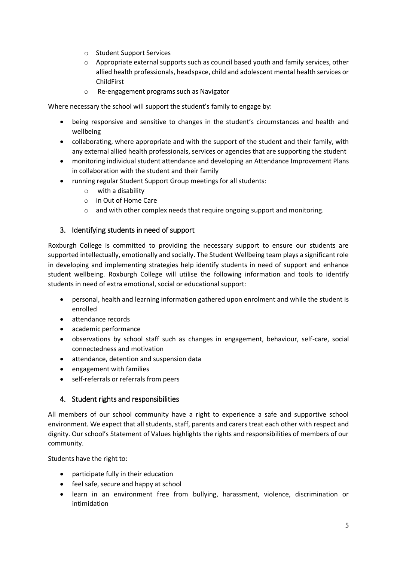- o Student Support Services
- o Appropriate external supports such as council based youth and family services, other allied health professionals, headspace, child and adolescent mental health services or ChildFirst
- o Re-engagement programs such as Navigator

Where necessary the school will support the student's family to engage by:

- being responsive and sensitive to changes in the student's circumstances and health and wellbeing
- collaborating, where appropriate and with the support of the student and their family, with any external allied health professionals, services or agencies that are supporting the student
- monitoring individual student attendance and developing an Attendance Improvement Plans in collaboration with the student and their family
- running regular Student Support Group meetings for all students:
	- o with a disability
	- o in Out of Home Care
	- o and with other complex needs that require ongoing support and monitoring.

## 3. Identifying students in need of support

Roxburgh College is committed to providing the necessary support to ensure our students are supported intellectually, emotionally and socially. The Student Wellbeing team plays a significant role in developing and implementing strategies help identify students in need of support and enhance student wellbeing. Roxburgh College will utilise the following information and tools to identify students in need of extra emotional, social or educational support:

- personal, health and learning information gathered upon enrolment and while the student is enrolled
- **attendance records**
- academic performance
- observations by school staff such as changes in engagement, behaviour, self-care, social connectedness and motivation
- attendance, detention and suspension data
- engagement with families
- self-referrals or referrals from peers

## 4. Student rights and responsibilities

All members of our school community have a right to experience a safe and supportive school environment. We expect that all students, staff, parents and carers treat each other with respect and dignity. Our school's Statement of Values highlights the rights and responsibilities of members of our community.

Students have the right to:

- participate fully in their education
- feel safe, secure and happy at school
- learn in an environment free from bullying, harassment, violence, discrimination or intimidation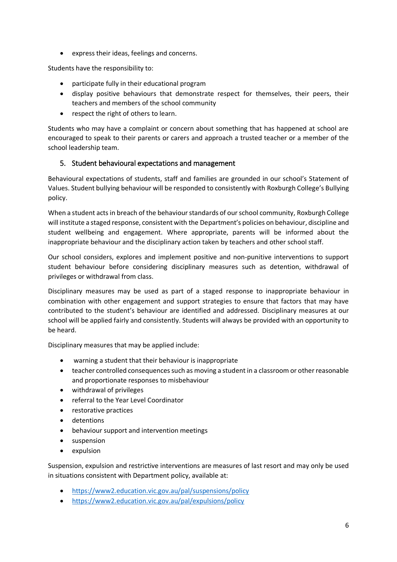express their ideas, feelings and concerns.

Students have the responsibility to:

- participate fully in their educational program
- display positive behaviours that demonstrate respect for themselves, their peers, their teachers and members of the school community
- respect the right of others to learn.

Students who may have a complaint or concern about something that has happened at school are encouraged to speak to their parents or carers and approach a trusted teacher or a member of the school leadership team.

## 5. Student behavioural expectations and management

Behavioural expectations of students, staff and families are grounded in our school's Statement of Values. Student bullying behaviour will be responded to consistently with Roxburgh College's Bullying policy.

When a student acts in breach of the behaviour standards of our school community, Roxburgh College will institute a staged response, consistent with the Department's policies on behaviour, discipline and student wellbeing and engagement. Where appropriate, parents will be informed about the inappropriate behaviour and the disciplinary action taken by teachers and other school staff.

Our school considers, explores and implement positive and non-punitive interventions to support student behaviour before considering disciplinary measures such as detention, withdrawal of privileges or withdrawal from class.

Disciplinary measures may be used as part of a staged response to inappropriate behaviour in combination with other engagement and support strategies to ensure that factors that may have contributed to the student's behaviour are identified and addressed. Disciplinary measures at our school will be applied fairly and consistently. Students will always be provided with an opportunity to be heard.

Disciplinary measures that may be applied include:

- warning a student that their behaviour is inappropriate
- teacher controlled consequences such as moving a student in a classroom or other reasonable and proportionate responses to misbehaviour
- withdrawal of privileges
- referral to the Year Level Coordinator
- restorative practices
- **•** detentions
- behaviour support and intervention meetings
- suspension
- expulsion

Suspension, expulsion and restrictive interventions are measures of last resort and may only be used in situations consistent with Department policy, available at:

- <https://www2.education.vic.gov.au/pal/suspensions/policy>
- <https://www2.education.vic.gov.au/pal/expulsions/policy>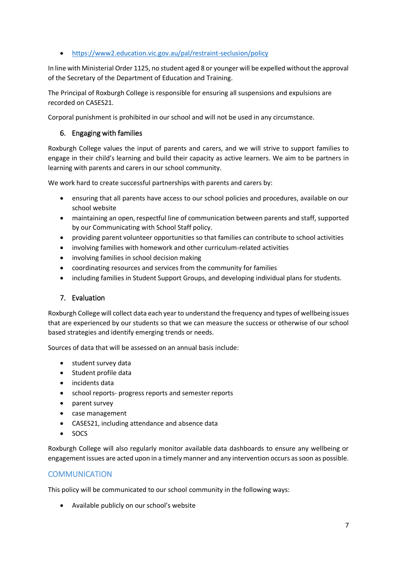## <https://www2.education.vic.gov.au/pal/restraint-seclusion/policy>

In line with Ministerial Order 1125, no student aged 8 or younger will be expelled without the approval of the Secretary of the Department of Education and Training.

The Principal of Roxburgh College is responsible for ensuring all suspensions and expulsions are recorded on CASES21.

Corporal punishment is prohibited in our school and will not be used in any circumstance.

# 6. Engaging with families

Roxburgh College values the input of parents and carers, and we will strive to support families to engage in their child's learning and build their capacity as active learners. We aim to be partners in learning with parents and carers in our school community.

We work hard to create successful partnerships with parents and carers by:

- ensuring that all parents have access to our school policies and procedures, available on our school website
- maintaining an open, respectful line of communication between parents and staff, supported by our Communicating with School Staff policy.
- providing parent volunteer opportunities so that families can contribute to school activities
- involving families with homework and other curriculum-related activities
- involving families in school decision making
- coordinating resources and services from the community for families
- including families in Student Support Groups, and developing individual plans for students.

## 7. Evaluation

Roxburgh College will collect data each year to understand the frequency and types of wellbeing issues that are experienced by our students so that we can measure the success or otherwise of our school based strategies and identify emerging trends or needs.

Sources of data that will be assessed on an annual basis include:

- student survey data
- Student profile data
- incidents data
- school reports- progress reports and semester reports
- parent survey
- case management
- CASES21, including attendance and absence data
- SOCS

Roxburgh College will also regularly monitor available data dashboards to ensure any wellbeing or engagement issues are acted upon in a timely manner and any intervention occurs as soon as possible.

## **COMMUNICATION**

This policy will be communicated to our school community in the following ways:

Available publicly on our school's website